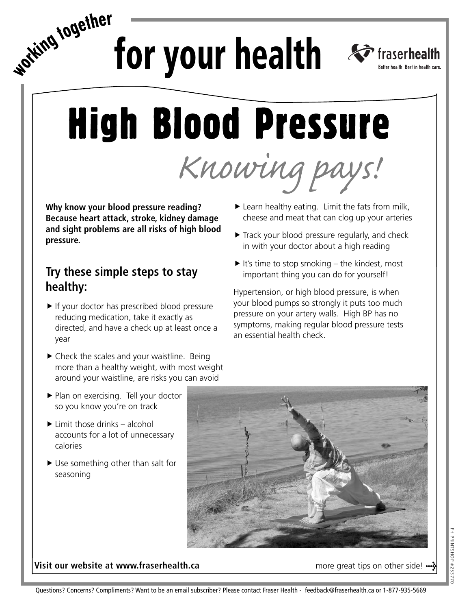## for your health  $\mathcal{F}$  fraserhealth



**High Blood Pressure** 

Knowing pay

**Why know your blood pressure reading? Because heart attack, stroke, kidney damage and sight problems are all risks of high blood pressure.**

### **Try these simple steps to stay healthy:**

**wo<sup>r</sup>kin<sup>g</sup> <sup>t</sup>ogethe<sup>r</sup>**

- If your doctor has prescribed blood pressure reducing medication, take it exactly as directed, and have a check up at least once a year
- ▶ Check the scales and your waistline. Being more than a healthy weight, with most weight around your waistline, are risks you can avoid
- ▶ Learn healthy eating. Limit the fats from milk, cheese and meat that can clog up your arteries
- ▶ Track your blood pressure regularly, and check in with your doctor about a high reading
- $\blacktriangleright$  It's time to stop smoking the kindest, most important thing you can do for yourself!

Hypertension, or high blood pressure, is when your blood pumps so strongly it puts too much pressure on your artery walls. High BP has no symptoms, making regular blood pressure tests an essential health check.

- ▶ Plan on exercising. Tell your doctor so you know you're on track
- $\blacktriangleright$  Limit those drinks alcohol accounts for a lot of unnecessary calories
- ▶ Use something other than salt for seasoning



#### **Visit our website at www.fraserhealth.ca**

more great tips on other side! ...